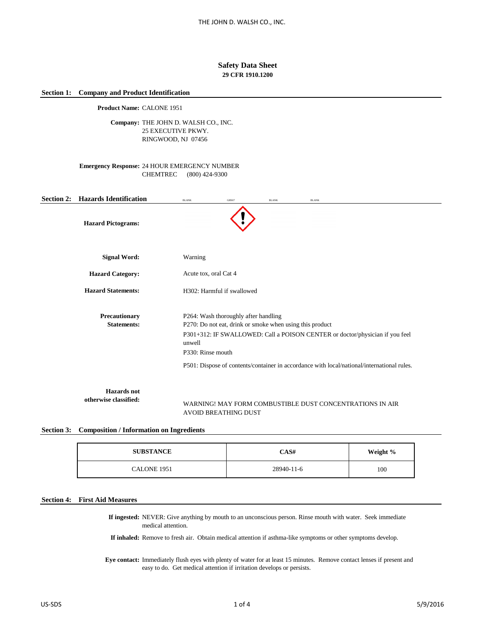## **Safety Data Sheet 29 CFR 1910.1200**

## **Section 1: Company and Product Identification**

**Product Name:** CALONE 1951

Company: THE JOHN D. WALSH CO., INC. 25 EXECUTIVE PKWY. RINGWOOD, NJ 07456

## **Emergency Response:** 24 HOUR EMERGENCY NUMBER CHEMTREC (800) 424-9300

| <b>Section 2:</b> | <b>Hazards Identification</b>               | <b>BLANK</b>          | GHS07                                                                                                                                                                                                                                                                                               | <b>BLANK</b> | <b>BLANK</b>                                             |  |  |  |
|-------------------|---------------------------------------------|-----------------------|-----------------------------------------------------------------------------------------------------------------------------------------------------------------------------------------------------------------------------------------------------------------------------------------------------|--------------|----------------------------------------------------------|--|--|--|
|                   | <b>Hazard Pictograms:</b>                   |                       |                                                                                                                                                                                                                                                                                                     |              |                                                          |  |  |  |
|                   | <b>Signal Word:</b>                         | Warning               |                                                                                                                                                                                                                                                                                                     |              |                                                          |  |  |  |
|                   | <b>Hazard Category:</b>                     | Acute tox, oral Cat 4 |                                                                                                                                                                                                                                                                                                     |              |                                                          |  |  |  |
|                   | <b>Hazard Statements:</b>                   |                       | H302: Harmful if swallowed                                                                                                                                                                                                                                                                          |              |                                                          |  |  |  |
|                   | Precautionary<br><b>Statements:</b>         | unwell                | P264: Wash thoroughly after handling<br>P270: Do not eat, drink or smoke when using this product<br>P301+312: IF SWALLOWED: Call a POISON CENTER or doctor/physician if you feel<br>P330: Rinse mouth<br>P501: Dispose of contents/container in accordance with local/national/international rules. |              |                                                          |  |  |  |
|                   | <b>Hazards</b> not<br>otherwise classified: |                       |                                                                                                                                                                                                                                                                                                     |              | WARNING! MAY FORM COMBUSTIBLE DUST CONCENTRATIONS IN AIR |  |  |  |

# AVOID BREATHING DUST

## **Section 3: Composition / Information on Ingredients**

| <b>SUBSTANCE</b> | CAS#       | Weight % |
|------------------|------------|----------|
| CALONE 1951      | 28940-11-6 | 100      |

# **Section 4: First Aid Measures**

**If ingested:** NEVER: Give anything by mouth to an unconscious person. Rinse mouth with water. Seek immediate medical attention.

**If inhaled:** Remove to fresh air. Obtain medical attention if asthma-like symptoms or other symptoms develop.

**Eye contact:** Immediately flush eyes with plenty of water for at least 15 minutes. Remove contact lenses if present and easy to do. Get medical attention if irritation develops or persists.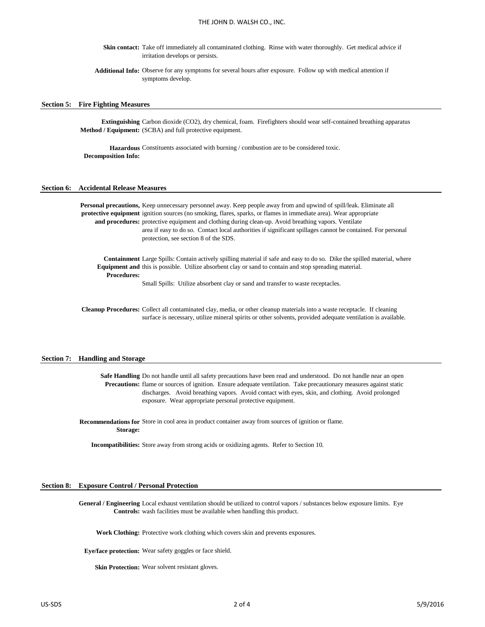Skin contact: Take off immediately all contaminated clothing. Rinse with water thoroughly. Get medical advice if irritation develops or persists.

**Additional Info:** Observe for any symptoms for several hours after exposure. Follow up with medical attention if symptoms develop.

#### **Section 5: Fire Fighting Measures**

**Extinguishing**  Carbon dioxide (CO2), dry chemical, foam. Firefighters should wear self-contained breathing apparatus **Method / Equipment:** (SCBA) and full protective equipment.

Hazardous Constituents associated with burning / combustion are to be considered toxic. **Decomposition Info:**

#### **Section 6: Accidental Release Measures**

Personal precautions, Keep unnecessary personnel away. Keep people away from and upwind of spill/leak. Eliminate all **protective equipment**  ignition sources (no smoking, flares, sparks, or flames in immediate area). Wear appropriate and procedures: protective equipment and clothing during clean-up. Avoid breathing vapors. Ventilate area if easy to do so. Contact local authorities if significant spillages cannot be contained. For personal protection, see section 8 of the SDS.

**Containment**  Large Spills: Contain actively spilling material if safe and easy to do so. Dike the spilled material, where **Equipment and** this is possible. Utilize absorbent clay or sand to contain and stop spreading material. **Procedures:**

Small Spills: Utilize absorbent clay or sand and transfer to waste receptacles.

Cleanup Procedures: Collect all contaminated clay, media, or other cleanup materials into a waste receptacle. If cleaning surface is necessary, utilize mineral spirits or other solvents, provided adequate ventilation is available.

#### **Section 7: Handling and Storage**

Safe Handling Do not handle until all safety precautions have been read and understood. Do not handle near an open **Precautions:** flame or sources of ignition. Ensure adequate ventilation. Take precautionary measures against static discharges. Avoid breathing vapors. Avoid contact with eyes, skin, and clothing. Avoid prolonged exposure. Wear appropriate personal protective equipment.

**Recommendations for**  Store in cool area in product container away from sources of ignition or flame. **Storage:**

**Incompatibilities:** Store away from strong acids or oxidizing agents. Refer to Section 10.

#### **Section 8: Exposure Control / Personal Protection**

General / Engineering Local exhaust ventilation should be utilized to control vapors / substances below exposure limits. Eye **Controls:** wash facilities must be available when handling this product.

**Work Clothing:** Protective work clothing which covers skin and prevents exposures.

**Eye/face protection:** Wear safety goggles or face shield.

Skin Protection: Wear solvent resistant gloves.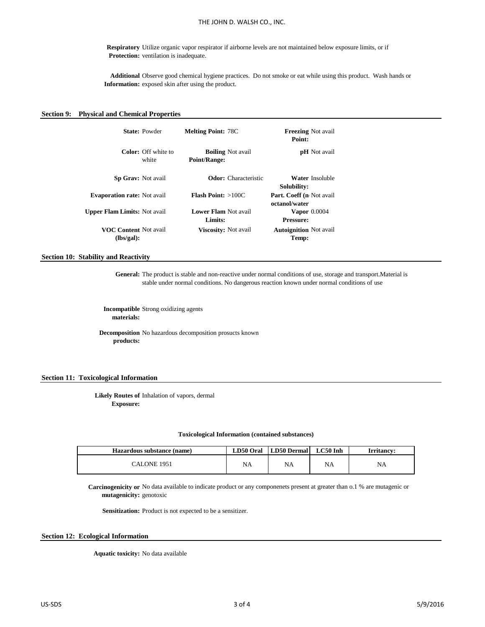**Respiratory**  Utilize organic vapor respirator if airborne levels are not maintained below exposure limits, or if **Protection:** ventilation is inadequate.

**Additional**  Observe good chemical hygiene practices. Do not smoke or eat while using this product. Wash hands or **Information:** exposed skin after using the product.

## **Section 9: Physical and Chemical Properties**

|                                            | <b>State: Powder</b>         | <b>Melting Point: 78C</b>              |                             | <b>Freezing</b> Not avail<br>Point:       |  |
|--------------------------------------------|------------------------------|----------------------------------------|-----------------------------|-------------------------------------------|--|
|                                            | Color: Off white to<br>white | <b>Point/Range:</b>                    | <b>Boiling</b> Not avail    | <b>pH</b> Not avail                       |  |
| <b>Sp Grav:</b> Not avail                  |                              |                                        | <b>Odor:</b> Characteristic | Water Insoluble<br>Solubility:            |  |
| <b>Evaporation rate:</b> Not avail         |                              | <b>Flash Point:</b> $>100C$            |                             | Part. Coeff (n Not avail<br>octanol/water |  |
| <b>Upper Flam Limits: Not avail</b>        |                              | <b>Lower Flam Not avail</b><br>Limits: |                             | Vapor $0.0004$<br><b>Pressure:</b>        |  |
| <b>VOC Content Not avail</b><br>(lbs/gal): |                              | Viscosity: Not avail                   |                             | <b>Autoignition</b> Not avail<br>Temp:    |  |

**Section 10: Stability and Reactivity**

**General:** The product is stable and non-reactive under normal conditions of use, storage and transport.Material is stable under normal conditions. No dangerous reaction known under normal conditions of use

**Incompatible**  Strong oxidizing agents **materials:**

**Decomposition**  No hazardous decomposition prosucts known **products:**

## **Section 11: Toxicological Information**

**Likely Routes of**  Inhalation of vapors, dermal **Exposure:**

#### **Toxicological Information (contained substances)**

| Hazardous substance (name) | LD50 Oral | LD50 Dermal | $LC50$ Inh | <b>Irritancv:</b> |
|----------------------------|-----------|-------------|------------|-------------------|
| CALONE 1951                | NA        | <b>NA</b>   | NA         | NA                |

**Carcinogenicity or**  No data available to indicate product or any componenets present at greater than o.1 % are mutagenic or **mutagenicity:** genotoxic

Sensitization: Product is not expected to be a sensitizer.

## **Section 12: Ecological Information**

**Aquatic toxicity:** No data available